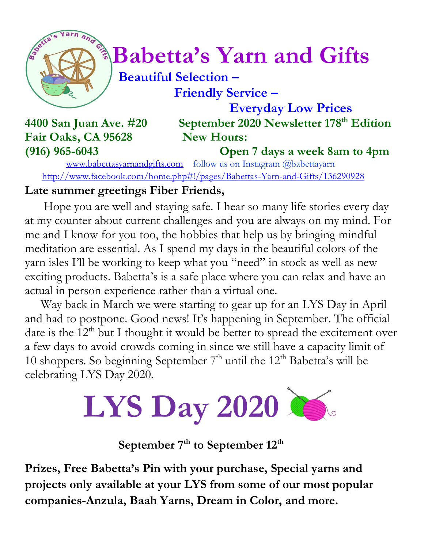

# *Contrastants* **Babetta's Yarn and Gifts**

#### **Beautiful Selection – Friendly Service –**

 **Everyday Low Prices 4400 San Juan Ave. #20 September 2020 Newsletter 178 th Edition**

## Fair Oaks, CA 95628 New Hours:

**(916) 965-6043 Open 7 days a week 8am to 4pm**

[www.babettasyarnandgifts.com](http://www.babettasyarnandgifts.com/) follow us on Instagram @babettayarn <http://www.facebook.com/home.php#!/pages/Babettas-Yarn-and-Gifts/136290928>

#### **Late summer greetings Fiber Friends,**

Hope you are well and staying safe. I hear so many life stories every day at my counter about current challenges and you are always on my mind. For me and I know for you too, the hobbies that help us by bringing mindful meditation are essential. As I spend my days in the beautiful colors of the yarn isles I'll be working to keep what you "need" in stock as well as new exciting products. Babetta's is a safe place where you can relax and have an actual in person experience rather than a virtual one.

 Way back in March we were starting to gear up for an LYS Day in April and had to postpone. Good news! It's happening in September. The official date is the  $12<sup>th</sup>$  but I thought it would be better to spread the excitement over a few days to avoid crowds coming in since we still have a capacity limit of 10 shoppers. So beginning September  $7<sup>th</sup>$  until the 12<sup>th</sup> Babetta's will be celebrating LYS Day 2020.



#### **September 7th to September 12th**

**Prizes, Free Babetta's Pin with your purchase, Special yarns and projects only available at your LYS from some of our most popular companies-Anzula, Baah Yarns, Dream in Color, and more.**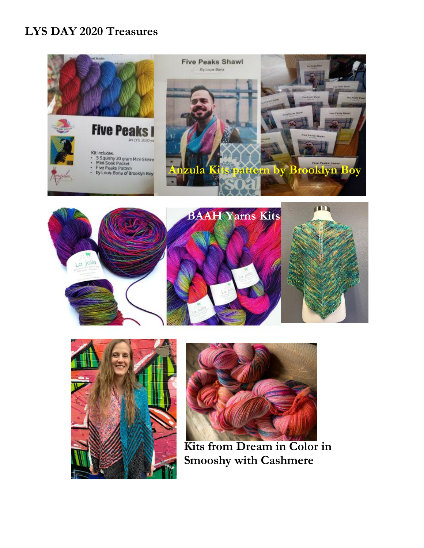#### **LYS DAY 2020 Treasures**









 **Kits from Dream in Color in Smooshy with Cashmere**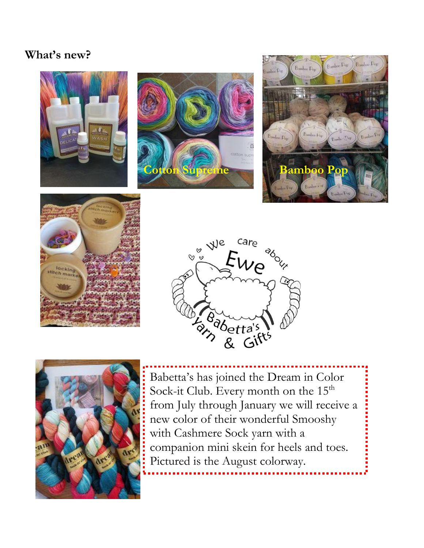#### **What's new?**













Babetta's has joined the Dream in Color Sock-it Club. Every month on the 15<sup>th</sup> from July through January we will receive a new color of their wonderful Smooshy with Cashmere Sock yarn with a companion mini skein for heels and toes. Pictured is the August colorway.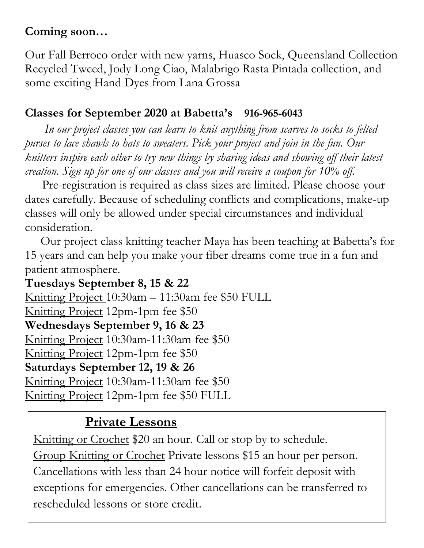#### **Coming soon…**

Our Fall Berroco order with new yarns, Huasco Sock, Queensland Collection Recycled Tweed, Jody Long Ciao, Malabrigo Rasta Pintada collection, and some exciting Hand Dyes from Lana Grossa

#### **Classes for September 2020 at Babetta's 916-965-6043**

 *In our project classes you can learn to knit anything from scarves to socks to felted purses to lace shawls to hats to sweaters. Pick your project and join in the fun. Our knitters inspire each other to try new things by sharing ideas and showing off their latest creation. Sign up for one of our classes and you will receive a coupon for 10% off.*

Pre-registration is required as class sizes are limited. Please choose your dates carefully. Because of scheduling conflicts and complications, make-up classes will only be allowed under special circumstances and individual consideration.

Our project class knitting teacher Maya has been teaching at Babetta's for 15 years and can help you make your fiber dreams come true in a fun and patient atmosphere.

**Tuesdays September 8, 15 & 22** Knitting Project 10:30am – 11:30am fee \$50 FULL Knitting Project 12pm-1pm fee \$50 **Wednesdays September 9, 16 & 23** Knitting Project 10:30am-11:30am fee \$50 Knitting Project 12pm-1pm fee \$50 **Saturdays September 12, 19 & 26** Knitting Project 10:30am-11:30am fee \$50 Knitting Project 12pm-1pm fee \$50 FULL

### **Private Lessons**

Knitting or Crochet \$20 an hour. Call or stop by to schedule. Group Knitting or Crochet Private lessons \$15 an hour per person. Cancellations with less than 24 hour notice will forfeit deposit with exceptions for emergencies. Other cancellations can be transferred to rescheduled lessons or store credit.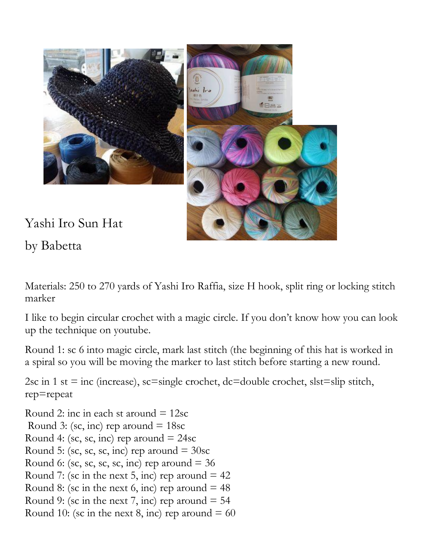

Yashi Iro Sun Hat

by Babetta

Materials: 250 to 270 yards of Yashi Iro Raffia, size H hook, split ring or locking stitch marker

I like to begin circular crochet with a magic circle. If you don't know how you can look up the technique on youtube.

Round 1: sc 6 into magic circle, mark last stitch (the beginning of this hat is worked in a spiral so you will be moving the marker to last stitch before starting a new round.

2sc in 1 st = inc (increase), sc=single crochet, dc=double crochet, slst=slip stitch, rep=repeat

Round 2: inc in each st around  $= 12$ sc Round 3: (sc, inc) rep around  $= 18$ sc Round 4: (sc, sc, inc) rep around  $= 24$ sc Round 5: (sc, sc, sc, inc) rep around  $=$  30sc Round 6: (sc, sc, sc, sc, inc) rep around  $=$  36 Round 7: (sc in the next 5, inc) rep around  $= 42$ Round 8: (sc in the next 6, inc) rep around  $= 48$ Round 9: (sc in the next 7, inc) rep around  $= 54$ Round 10: (sc in the next 8, inc) rep around  $= 60$